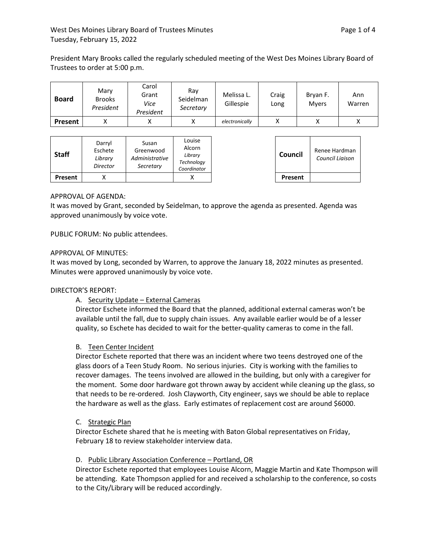President Mary Brooks called the regularly scheduled meeting of the West Des Moines Library Board of Trustees to order at 5:00 p.m.

| <b>Board</b> | Marv<br><b>Brooks</b><br>President | Carol<br>Grant<br>Vice<br>President | Rav<br>Seidelman<br>Secretary | Melissa L.<br>Gillespie | Craig<br>Long | Bryan F.<br><b>Mvers</b> | Ann<br>Warren |
|--------------|------------------------------------|-------------------------------------|-------------------------------|-------------------------|---------------|--------------------------|---------------|
| Present      |                                    |                                     |                               | electronically          |               |                          |               |

| <b>Staff</b> | Darryl<br>Eschete<br>Library<br>Director | Susan<br>Greenwood<br>Administrative<br>Secretary | Louise<br>Alcorn<br>Library<br>Technology<br>Coordinator | Council | Renee Hardman<br>Council Liaison |
|--------------|------------------------------------------|---------------------------------------------------|----------------------------------------------------------|---------|----------------------------------|
| Present      |                                          |                                                   |                                                          | Present |                                  |

# APPROVAL OF AGENDA:

It was moved by Grant, seconded by Seidelman, to approve the agenda as presented. Agenda was approved unanimously by voice vote.

PUBLIC FORUM: No public attendees.

## APPROVAL OF MINUTES:

It was moved by Long, seconded by Warren, to approve the January 18, 2022 minutes as presented. Minutes were approved unanimously by voice vote.

## DIRECTOR'S REPORT:

## A. Security Update – External Cameras

Director Eschete informed the Board that the planned, additional external cameras won't be available until the fall, due to supply chain issues. Any available earlier would be of a lesser quality, so Eschete has decided to wait for the better-quality cameras to come in the fall.

## B. Teen Center Incident

Director Eschete reported that there was an incident where two teens destroyed one of the glass doors of a Teen Study Room. No serious injuries. City is working with the families to recover damages. The teens involved are allowed in the building, but only with a caregiver for the moment. Some door hardware got thrown away by accident while cleaning up the glass, so that needs to be re-ordered. Josh Clayworth, City engineer, says we should be able to replace the hardware as well as the glass. Early estimates of replacement cost are around \$6000.

#### C. Strategic Plan

Director Eschete shared that he is meeting with Baton Global representatives on Friday, February 18 to review stakeholder interview data.

## D. Public Library Association Conference – Portland, OR

Director Eschete reported that employees Louise Alcorn, Maggie Martin and Kate Thompson will be attending. Kate Thompson applied for and received a scholarship to the conference, so costs to the City/Library will be reduced accordingly.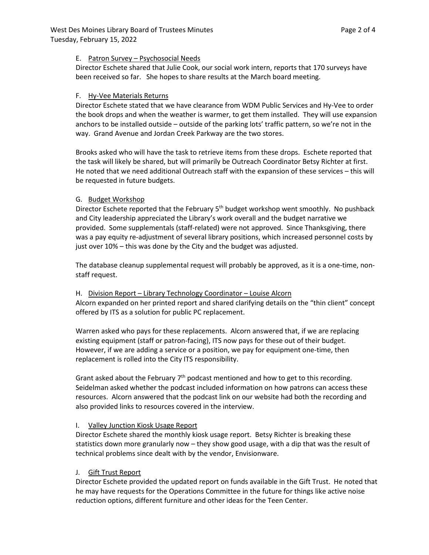### E. Patron Survey – Psychosocial Needs

Director Eschete shared that Julie Cook, our social work intern, reports that 170 surveys have been received so far. She hopes to share results at the March board meeting.

### F. Hy-Vee Materials Returns

Director Eschete stated that we have clearance from WDM Public Services and Hy-Vee to order the book drops and when the weather is warmer, to get them installed. They will use expansion anchors to be installed outside – outside of the parking lots' traffic pattern, so we're not in the way. Grand Avenue and Jordan Creek Parkway are the two stores.

Brooks asked who will have the task to retrieve items from these drops. Eschete reported that the task will likely be shared, but will primarily be Outreach Coordinator Betsy Richter at first. He noted that we need additional Outreach staff with the expansion of these services – this will be requested in future budgets.

### G. Budget Workshop

Director Eschete reported that the February 5<sup>th</sup> budget workshop went smoothly. No pushback and City leadership appreciated the Library's work overall and the budget narrative we provided. Some supplementals (staff-related) were not approved. Since Thanksgiving, there was a pay equity re-adjustment of several library positions, which increased personnel costs by just over 10% – this was done by the City and the budget was adjusted.

The database cleanup supplemental request will probably be approved, as it is a one-time, nonstaff request.

#### H. Division Report – Library Technology Coordinator – Louise Alcorn

Alcorn expanded on her printed report and shared clarifying details on the "thin client" concept offered by ITS as a solution for public PC replacement.

Warren asked who pays for these replacements. Alcorn answered that, if we are replacing existing equipment (staff or patron-facing), ITS now pays for these out of their budget. However, if we are adding a service or a position, we pay for equipment one-time, then replacement is rolled into the City ITS responsibility.

Grant asked about the February  $7<sup>th</sup>$  podcast mentioned and how to get to this recording. Seidelman asked whether the podcast included information on how patrons can access these resources. Alcorn answered that the podcast link on our website had both the recording and also provided links to resources covered in the interview.

## I. Valley Junction Kiosk Usage Report

Director Eschete shared the monthly kiosk usage report. Betsy Richter is breaking these statistics down more granularly now – they show good usage, with a dip that was the result of technical problems since dealt with by the vendor, Envisionware.

## J. Gift Trust Report

Director Eschete provided the updated report on funds available in the Gift Trust. He noted that he may have requests for the Operations Committee in the future for things like active noise reduction options, different furniture and other ideas for the Teen Center.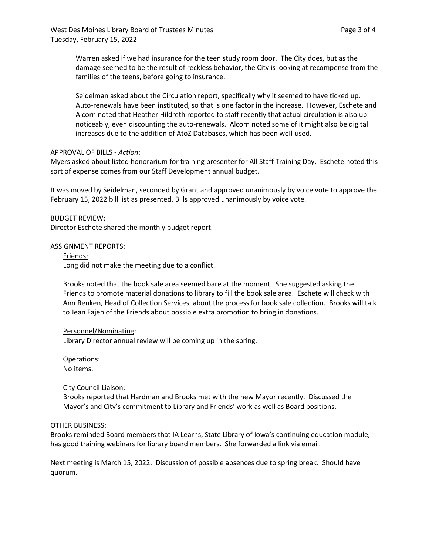Warren asked if we had insurance for the teen study room door. The City does, but as the damage seemed to be the result of reckless behavior, the City is looking at recompense from the families of the teens, before going to insurance.

Seidelman asked about the Circulation report, specifically why it seemed to have ticked up. Auto-renewals have been instituted, so that is one factor in the increase. However, Eschete and Alcorn noted that Heather Hildreth reported to staff recently that actual circulation is also up noticeably, even discounting the auto-renewals. Alcorn noted some of it might also be digital increases due to the addition of AtoZ Databases, which has been well-used.

### APPROVAL OF BILLS - *Action*:

Myers asked about listed honorarium for training presenter for All Staff Training Day. Eschete noted this sort of expense comes from our Staff Development annual budget.

It was moved by Seidelman, seconded by Grant and approved unanimously by voice vote to approve the February 15, 2022 bill list as presented. Bills approved unanimously by voice vote.

BUDGET REVIEW: Director Eschete shared the monthly budget report.

### ASSIGNMENT REPORTS:

Friends: Long did not make the meeting due to a conflict.

Brooks noted that the book sale area seemed bare at the moment. She suggested asking the Friends to promote material donations to library to fill the book sale area. Eschete will check with Ann Renken, Head of Collection Services, about the process for book sale collection. Brooks will talk to Jean Fajen of the Friends about possible extra promotion to bring in donations.

## Personnel/Nominating:

Library Director annual review will be coming up in the spring.

Operations: No items.

#### City Council Liaison:

Brooks reported that Hardman and Brooks met with the new Mayor recently. Discussed the Mayor's and City's commitment to Library and Friends' work as well as Board positions.

#### OTHER BUSINESS:

Brooks reminded Board members that IA Learns, State Library of Iowa's continuing education module, has good training webinars for library board members. She forwarded a link via email.

Next meeting is March 15, 2022. Discussion of possible absences due to spring break. Should have quorum.